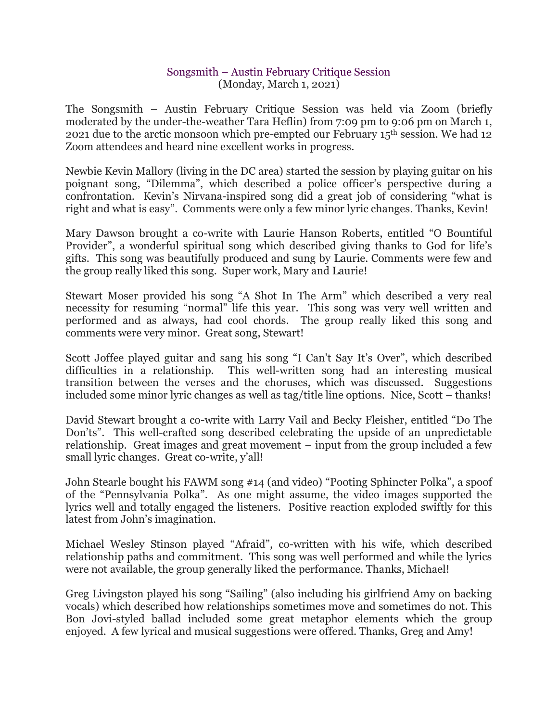## Songsmith – Austin February Critique Session (Monday, March 1, 2021)

The Songsmith – Austin February Critique Session was held via Zoom (briefly moderated by the under-the-weather Tara Heflin) from 7:09 pm to 9:06 pm on March 1, 2021 due to the arctic monsoon which pre-empted our February 15th session. We had 12 Zoom attendees and heard nine excellent works in progress.

Newbie Kevin Mallory (living in the DC area) started the session by playing guitar on his poignant song, "Dilemma", which described a police officer's perspective during a confrontation. Kevin's Nirvana-inspired song did a great job of considering "what is right and what is easy". Comments were only a few minor lyric changes. Thanks, Kevin!

Mary Dawson brought a co-write with Laurie Hanson Roberts, entitled "O Bountiful Provider", a wonderful spiritual song which described giving thanks to God for life's gifts. This song was beautifully produced and sung by Laurie. Comments were few and the group really liked this song. Super work, Mary and Laurie!

Stewart Moser provided his song "A Shot In The Arm" which described a very real necessity for resuming "normal" life this year. This song was very well written and performed and as always, had cool chords. The group really liked this song and comments were very minor. Great song, Stewart!

Scott Joffee played guitar and sang his song "I Can't Say It's Over", which described difficulties in a relationship. This well-written song had an interesting musical transition between the verses and the choruses, which was discussed. Suggestions included some minor lyric changes as well as tag/title line options. Nice, Scott – thanks!

David Stewart brought a co-write with Larry Vail and Becky Fleisher, entitled "Do The Don'ts". This well-crafted song described celebrating the upside of an unpredictable relationship. Great images and great movement – input from the group included a few small lyric changes. Great co-write, y'all!

John Stearle bought his FAWM song #14 (and video) "Pooting Sphincter Polka", a spoof of the "Pennsylvania Polka". As one might assume, the video images supported the lyrics well and totally engaged the listeners. Positive reaction exploded swiftly for this latest from John's imagination.

Michael Wesley Stinson played "Afraid", co-written with his wife, which described relationship paths and commitment. This song was well performed and while the lyrics were not available, the group generally liked the performance. Thanks, Michael!

Greg Livingston played his song "Sailing" (also including his girlfriend Amy on backing vocals) which described how relationships sometimes move and sometimes do not. This Bon Jovi-styled ballad included some great metaphor elements which the group enjoyed. A few lyrical and musical suggestions were offered. Thanks, Greg and Amy!